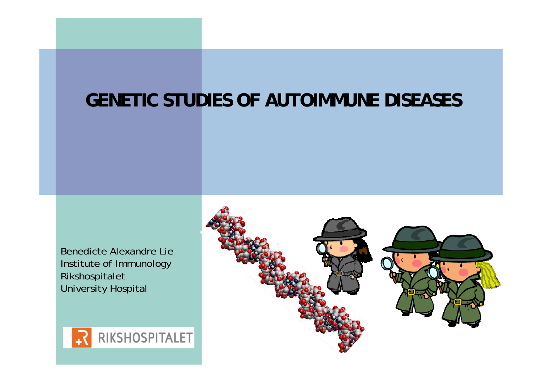#### **GENETIC STUDIES OF AUTOIMMUNE DISEASES**

Benedicte Alexandre Lie Institute of Immunology Rikshospitalet University Hospital



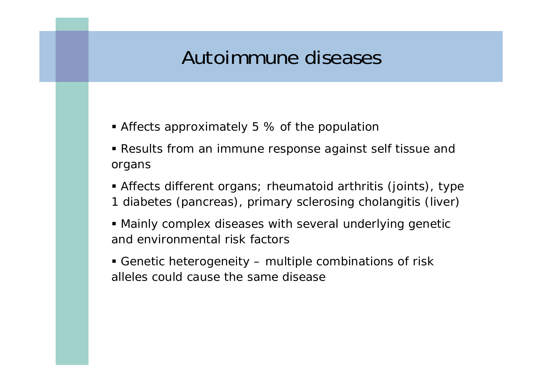### Autoimmune diseases

- Affects approximately 5 % of the population
- Results from an immune response against self tissue and organs
- Affects different organs; rheumatoid arthritis (joints), type 1 diabetes (pancreas), primary sclerosing cholangitis (liver)
- Mainly complex diseases with several underlying genetic and environmental risk factors
- Genetic heterogeneity multiple combinations of risk alleles could cause the same disease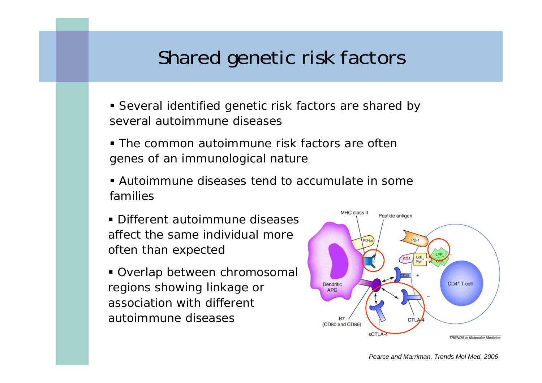## Shared genetic risk factors

- Several identified genetic risk factors are shared by several autoimmune diseases
- The common autoimmune risk factors are often genes of an immunological nature.
- Autoimmune diseases tend to accumulate in some families
- **Different autoimmune diseases** affect the same individual more often than expected
- Overlap between chromosomal regions showing linkage or association with different autoimmune diseases

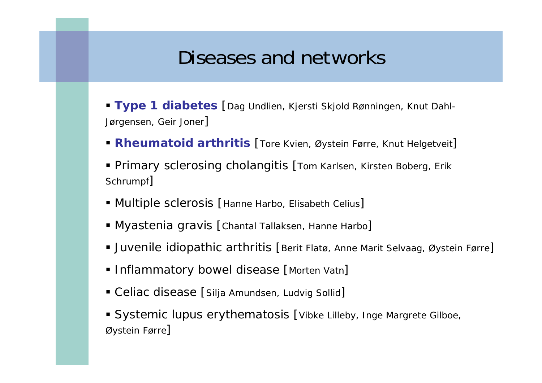#### Diseases and networks

- **Type 1 diabetes** [Dag Undlien, Kjersti Skjold Rønningen, Knut Dahl-Jørgensen, Geir Joner]
- **Rheumatoid arthritis** [Tore Kvien, Øystein Førre, Knut Helgetveit]
- Primary sclerosing cholangitis [Tom Karlsen, Kirsten Boberg, Erik Schrumpf]
- Multiple sclerosis [Hanne Harbo, Elisabeth Celius]
- **Myastenia gravis [Chantal Tallaksen, Hanne Harbo]**
- Juvenile idiopathic arthritis [Berit Flatø, Anne Marit Selvaag, Øystein Førre]
- **Inflammatory bowel disease [Morten Vatn]**
- Celiac disease [Silja Amundsen, Ludvig Sollid]
- **Systemic lupus erythematosis [Vibke Lilleby, Inge Margrete Gilboe,** Øystein Førre]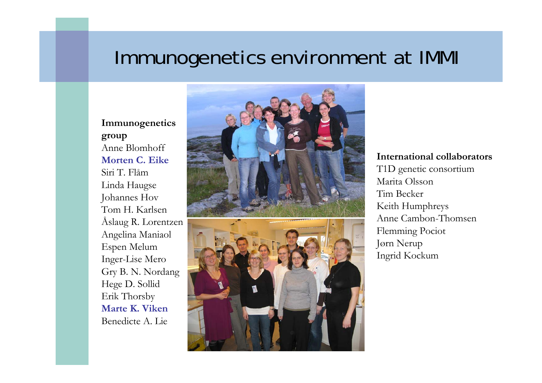#### Immunogenetics environment at IMMI

#### **Immunogenetics group** Anne Blomhoff **Morten C. Eike**Siri T. Flåm Linda Haugse Johannes Hov Tom H. Karlsen Åslaug R. Lorentzen Angelina Maniaol Espen Melum Inger-Lise Mero Gry B. N. Nordang Hege D. Sollid Erik Thorsby **Marte K. Viken**Benedicte A. Lie





#### **International collaborators**

T1D genetic consortium Marita OlssonTim BeckerKeith Humphreys Anne Cambon-Thomsen Flemming Pociot Jørn Nerup Ingrid Kockum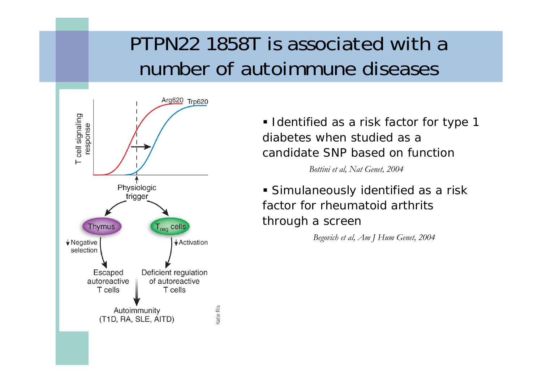## PTPN22 1858T is associated with a number of autoimmune diseases



**I** Identified as a risk factor for type 1 diabetes when studied as a candidate SNP based on function

*Bottini et al, Nat Genet, 2004*

 Simulaneously identified as a risk factor for rheumatoid arthrits through a screen

*Begovich et al, Am J Hum Genet, 2004*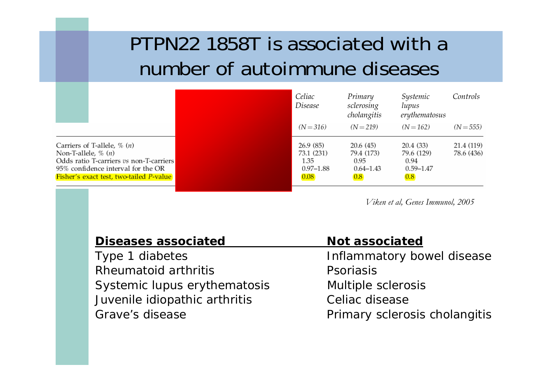# PTPN22 1858T is associated with a number of autoimmune diseases

|                                                                                                                                                                                          | Celiac<br>Disease                                                 | Primary<br>sclerosing<br>cholangitis                                | Systemic<br>lupus<br>erythematosus                      | Controls                 |
|------------------------------------------------------------------------------------------------------------------------------------------------------------------------------------------|-------------------------------------------------------------------|---------------------------------------------------------------------|---------------------------------------------------------|--------------------------|
|                                                                                                                                                                                          | $(N = 316)$                                                       | $(N = 219)$                                                         | $(N = 162)$                                             | $(N = 555)$              |
| Carriers of T-allele, $\%$ $(n)$<br>Non-T-allele, $\%$ $(n)$<br>Odds ratio T-carriers vs non-T-carriers<br>95% confidence interval for the OR<br>Fisher's exact test, two-tailed P-value | 26.9(85)<br>73.1 (231)<br>1.35<br>$0.97 - 1.88$<br>$ 0.08\rangle$ | 20.6(45)<br>79.4 (173)<br>0.95<br>$0.64 - 1.43$<br>$\overline{0.8}$ | 20.4 (33)<br>79.6 (129)<br>0.94<br>$0.59 - 1.47$<br>0.8 | 21.4 (119)<br>78.6 (436) |

*Viken et al, Genes Immunol, 2005*

| <b>Diseases associated</b>    | <b>Not associated</b>         |
|-------------------------------|-------------------------------|
| Type 1 diabetes               | Inflammatory bowel disease    |
| Rheumatoid arthritis          | Psoriasis                     |
| Systemic lupus erythematosis  | Multiple sclerosis            |
| Juvenile idiopathic arthritis | Celiac disease                |
| Grave's disease               | Primary sclerosis cholangitis |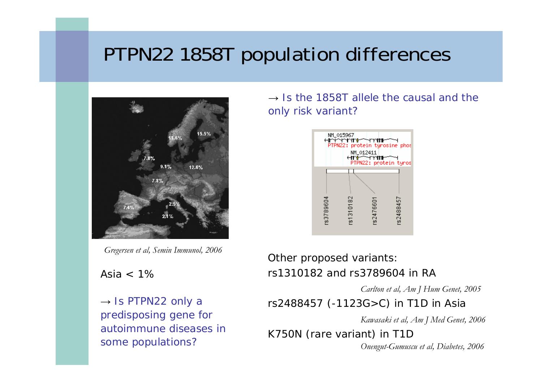## PTPN22 1858T population differences



*Gregersen et al, Semin Immunol, 2006*

Asia  $< 1\%$ 

 $\rightarrow$  Is PTPN22 only a predisposing gene for autoimmune diseases in some populations?

 $\rightarrow$  Is the 1858T allele the causal and the only risk variant?



#### Other proposed variants: rs1310182 and rs3789604 in RA

*Carlton et al, Am J Hum Genet, 2005*

rs2488457 (-1123G>C) in T1D in Asia

*Kawasaki et al, Am J Med Genet, 2006*

K750N (rare variant) in T1D *Onengut-Gumuscu et al, Diabetes, 2006*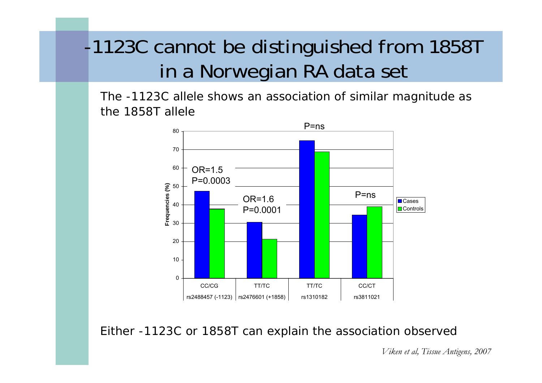# -1123C cannot be distinguished from 1858T in a Norwegian RA data set

The -1123C allele shows an association of similar magnitude as the 1858T allele



Either -1123C or 1858T can explain the association observed

*Viken et al, Tissue Antigens, 2007*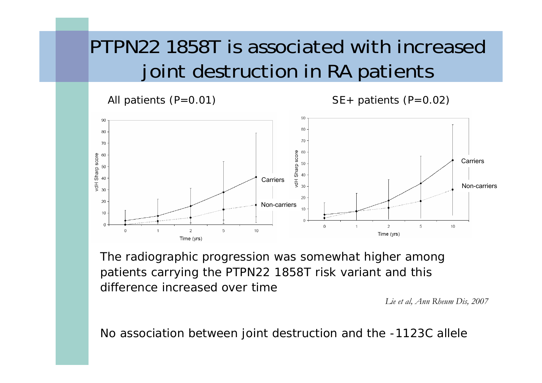# PTPN22 1858T is associated with increased joint destruction in RA patients

All patients  $(P=0.01)$  SE + patients  $(P=0.02)$ 



The radiographic progression was somewhat higher among patients carrying the PTPN22 1858T risk variant and this difference increased over time

*Lie et al, Ann Rheum Dis, 2007*

No association between joint destruction and the -1123C allele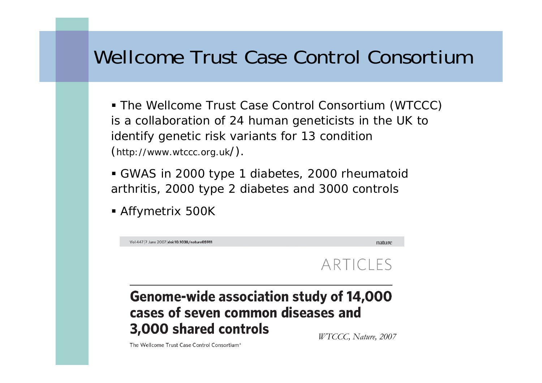## Wellcome Trust Case Control Consortium

 The Wellcome Trust Case Control Consortium (WTCCC) is a collaboration of 24 human geneticists in the UK to identify genetic risk variants for 13 condition (http://www.wtccc.org.uk/).

 GWAS in 2000 type 1 diabetes, 2000 rheumatoid arthritis, 2000 type 2 diabetes and 3000 controls

Affymetrix 500K



*WTCCC, Nature, 2007*

The Wellcome Trust Case Control Consortium\*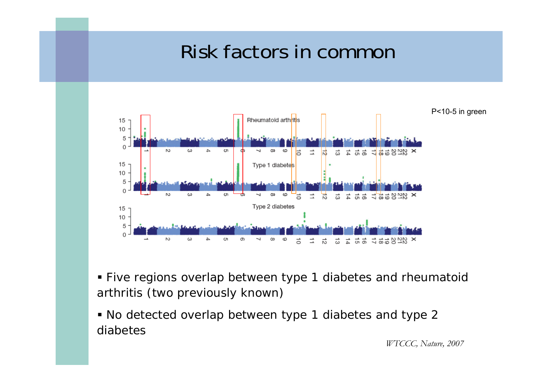## Risk factors in common



- Five regions overlap between type 1 diabetes and rheumatoid arthritis (two previously known)
- No detected overlap between type 1 diabetes and type 2 diabetes

*WTCCC, Nature, 2007*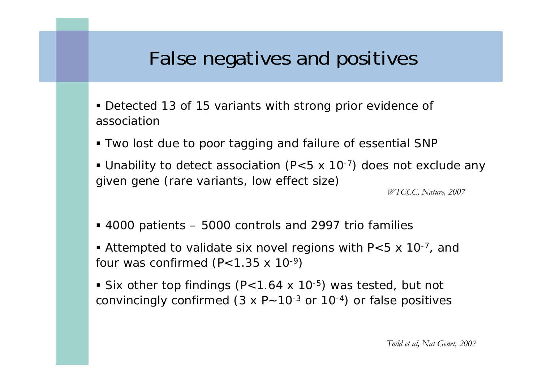## False negatives and positives

- Detected 13 of 15 variants with strong prior evidence of association
- Two lost due to poor tagging and failure of essential SNP
- Unability to detect association (P<5 x 10<sup>-7</sup>) does not exclude any given gene (rare variants, low effect size)

*WTCCC, Nature, 2007*

- 4000 patients 5000 controls and 2997 trio families
- Attempted to validate six novel regions with  $P<5$  x 10<sup>-7</sup>, and four was confirmed  $(P<1.35 \times 10^{-9})$
- Six other top findings (P<1.64 x 10<sup>-5</sup>) was tested, but not convincingly confirmed  $(3 \times P - 10^{-3} \text{ or } 10^{-4})$  or false positives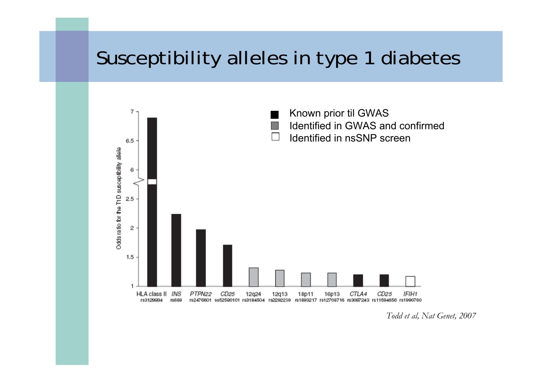## Susceptibility alleles in type 1 diabetes



*Todd et al, Nat Genet, 2007*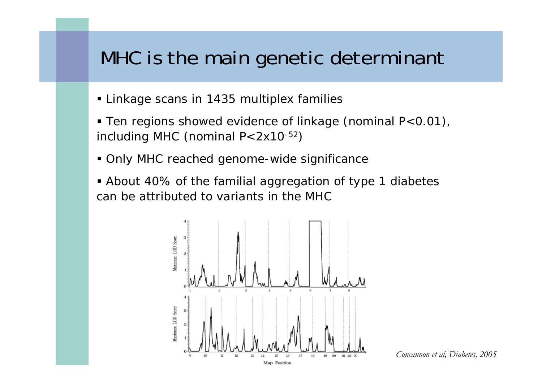#### MHC is the main genetic determinant

- Linkage scans in 1435 multiplex families
- Ten regions showed evidence of linkage (nominal P<0.01), including MHC (nominal P<2x10-52)
- Only MHC reached genome-wide significance
- About 40% of the familial aggregation of type 1 diabetes can be attributed to variants in the MHC



*Concannon et al, Diabetes, 2005*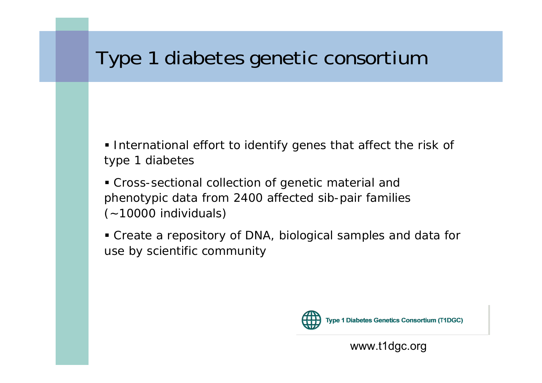## Type 1 diabetes genetic consortium

- **International effort to identify genes that affect the risk of** type 1 diabetes
- Cross-sectional collection of genetic material and phenotypic data from 2400 affected sib-pair families (~10000 individuals)
- Create a repository of DNA, biological samples and data for use by scientific community



**Type 1 Diabetes Genetics Consortium (T1DGC)** 

www.t1dgc.org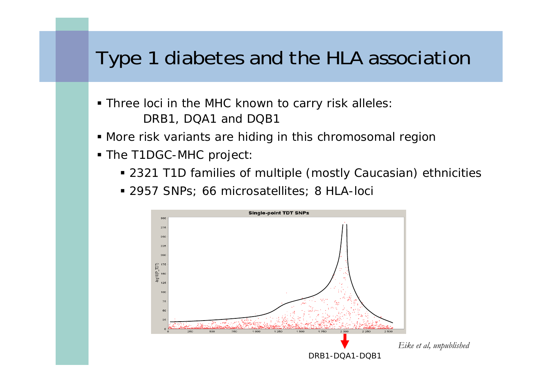## Type 1 diabetes and the HLA association

- Three loci in the MHC known to carry risk alleles: DRB1, DQA1 and DQB1
- More risk variants are hiding in this chromosomal region
- The T1DGC-MHC project:
	- 2321 T1D families of multiple (mostly Caucasian) ethnicities
	- 2957 SNPs; 66 microsatellites; 8 HLA-loci

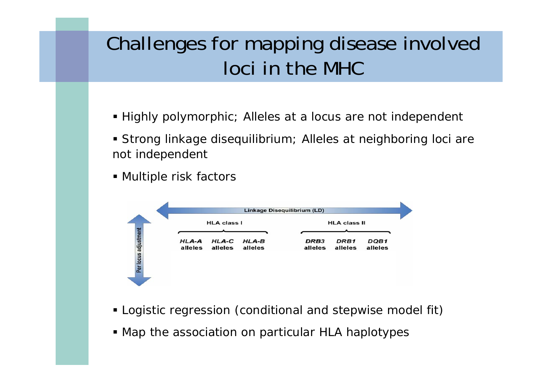# Challenges for mapping disease involved loci in the MHC

- Highly polymorphic; Alleles at a locus are not independent
- Strong linkage disequilibrium; Alleles at neighboring loci are not independent
- Multiple risk factors



- Logistic regression (conditional and stepwise model fit)
- Map the association on particular HLA haplotypes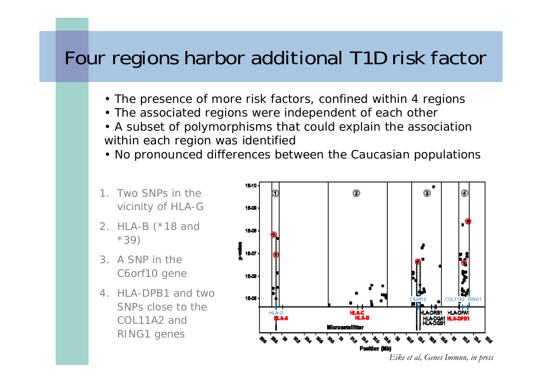#### Four regions harbor additional T1D risk factor

- The presence of more risk factors, confined within 4 regions
- The associated regions were independent of each other
- A subset of polymorphisms that could explain the association within each region was identified
- No pronounced differences between the Caucasian populations
- 1 Two SNPs in the vicinity of *HLA-G*
- *2. HLA-B* (\*18 and \*39)
- 3. A SNP in the *C6orf10* gene
- *4. HLA-DPB1* and two SNPs close to the *COL11A2* and *RING1* genes



*Eike et al, Genes Immun, in press*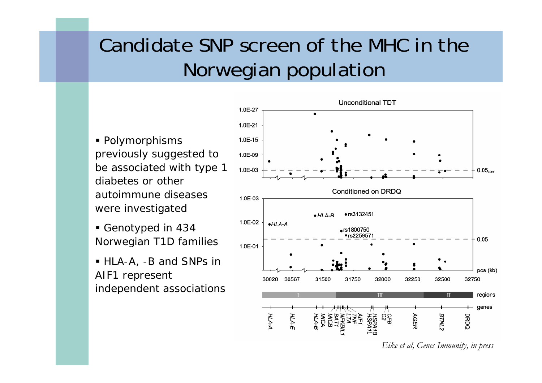# Candidate SNP screen of the MHC in the Norwegian population

 Polymorphisms previously suggested to be associated with type 1 diabetes or other autoimmune diseases were investigated

- Genotyped in 434 Norwegian T1D families
- HLA-A, -B and SNPs in AIF1 represent independent associations



*Eike et al, Genes Immunity, in press*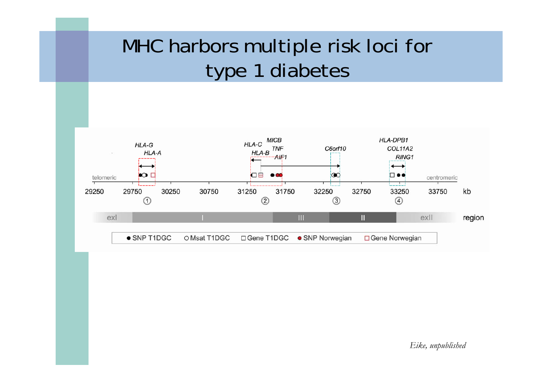# MHC harbors multiple risk loci for type 1 diabetes